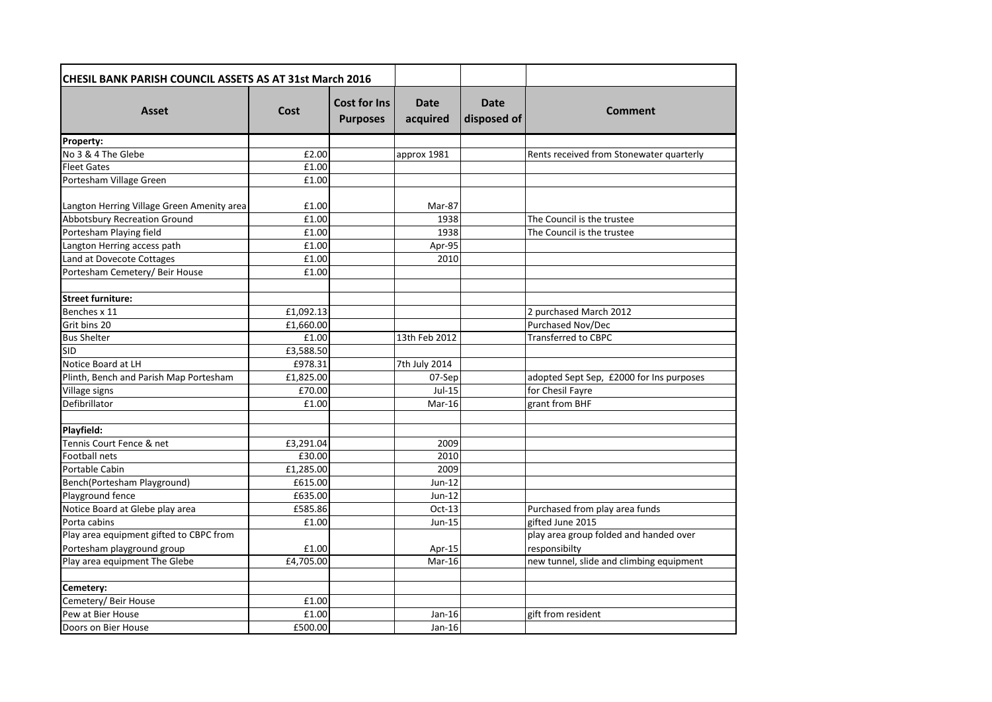| CHESIL BANK PARISH COUNCIL ASSETS AS AT 31st March 2016 |           |                                        |                         |                            |                                          |
|---------------------------------------------------------|-----------|----------------------------------------|-------------------------|----------------------------|------------------------------------------|
| <b>Asset</b>                                            | Cost      | <b>Cost for Ins</b><br><b>Purposes</b> | <b>Date</b><br>acquired | <b>Date</b><br>disposed of | Comment                                  |
| Property:                                               |           |                                        |                         |                            |                                          |
| No 3 & 4 The Glebe                                      | £2.00     |                                        | approx 1981             |                            | Rents received from Stonewater quarterly |
| <b>Fleet Gates</b>                                      | £1.00     |                                        |                         |                            |                                          |
| Portesham Village Green                                 | £1.00     |                                        |                         |                            |                                          |
| Langton Herring Village Green Amenity area              | £1.00     |                                        | Mar-87                  |                            |                                          |
| <b>Abbotsbury Recreation Ground</b>                     | £1.00     |                                        | 1938                    |                            | The Council is the trustee               |
| Portesham Playing field                                 | £1.00     |                                        | 1938                    |                            | The Council is the trustee               |
| Langton Herring access path                             | £1.00     |                                        | Apr-95                  |                            |                                          |
| Land at Dovecote Cottages                               | £1.00     |                                        | 2010                    |                            |                                          |
| Portesham Cemetery/ Beir House                          | £1.00     |                                        |                         |                            |                                          |
|                                                         |           |                                        |                         |                            |                                          |
| <b>Street furniture:</b>                                |           |                                        |                         |                            |                                          |
| Benches x 11                                            | £1,092.13 |                                        |                         |                            | 2 purchased March 2012                   |
| Grit bins 20                                            | £1,660.00 |                                        |                         |                            | Purchased Nov/Dec                        |
| <b>Bus Shelter</b>                                      | £1.00     |                                        | 13th Feb 2012           |                            | <b>Transferred to CBPC</b>               |
| <b>SID</b>                                              | £3.588.50 |                                        |                         |                            |                                          |
| Notice Board at LH                                      | £978.31   |                                        | 7th July 2014           |                            |                                          |
| Plinth, Bench and Parish Map Portesham                  | £1,825.00 |                                        | 07-Sep                  |                            | adopted Sept Sep, £2000 for Ins purposes |
| Village signs                                           | £70.00    |                                        | $Jul-15$                |                            | for Chesil Fayre                         |
| Defibrillator                                           | £1.00     |                                        | Mar-16                  |                            | grant from BHF                           |
| Playfield:                                              |           |                                        |                         |                            |                                          |
| Tennis Court Fence & net                                | £3,291.04 |                                        | 2009                    |                            |                                          |
| <b>Football nets</b>                                    | £30.00    |                                        | 2010                    |                            |                                          |
| Portable Cabin                                          | £1,285.00 |                                        | 2009                    |                            |                                          |
| Bench(Portesham Playground)                             | £615.00   |                                        | $Jun-12$                |                            |                                          |
| Playground fence                                        | £635.00   |                                        | $Jun-12$                |                            |                                          |
| Notice Board at Glebe play area                         | £585.86   |                                        | $Oct-13$                |                            | Purchased from play area funds           |
| Porta cabins                                            | £1.00     |                                        | <b>Jun-15</b>           |                            | gifted June 2015                         |
| Play area equipment gifted to CBPC from                 |           |                                        |                         |                            | play area group folded and handed over   |
| Portesham playground group                              | £1.00     |                                        | Apr-15                  |                            | responsibilty                            |
| Play area equipment The Glebe                           | £4,705.00 |                                        | $Mar-16$                |                            | new tunnel, slide and climbing equipment |
|                                                         |           |                                        |                         |                            |                                          |
| Cemetery:                                               |           |                                        |                         |                            |                                          |
| Cemetery/ Beir House                                    | £1.00     |                                        |                         |                            |                                          |
| Pew at Bier House                                       | £1.00     |                                        | Jan-16                  |                            | gift from resident                       |
| Doors on Bier House                                     | £500.00   |                                        | Jan-16                  |                            |                                          |